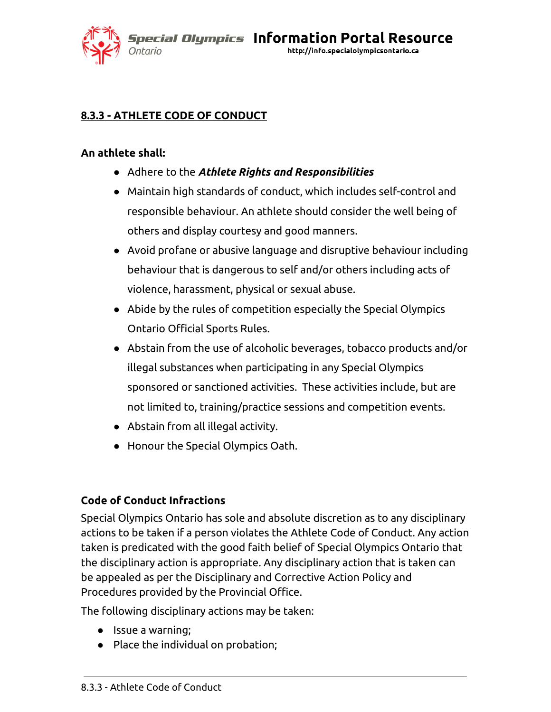*Special Olympics Information Portal Resource* http://info.specialolympicsontario.ca Ontario

# **8.3.3 - ATHLETE CODE OF CONDUCT**

## **An athlete shall:**

- Adhere to the *Athlete Rights and Responsibilities*
- Maintain high standards of conduct, which includes self-control and responsible behaviour. An athlete should consider the well being of others and display courtesy and good manners.
- Avoid profane or abusive language and disruptive behaviour including behaviour that is dangerous to self and/or others including acts of violence, harassment, physical or sexual abuse.
- Abide by the rules of competition especially the Special Olympics Ontario Official Sports Rules.
- Abstain from the use of alcoholic beverages, tobacco products and/or illegal substances when participating in any Special Olympics sponsored or sanctioned activities. These activities include, but are not limited to, training/practice sessions and competition events.
- Abstain from all illegal activity.
- Honour the Special Olympics Oath.

## **Code of Conduct Infractions**

Special Olympics Ontario has sole and absolute discretion as to any disciplinary actions to be taken if a person violates the Athlete Code of Conduct. Any action taken is predicated with the good faith belief of Special Olympics Ontario that the disciplinary action is appropriate. Any disciplinary action that is taken can be appealed as per the Disciplinary and Corrective Action Policy and Procedures provided by the Provincial Office.

The following disciplinary actions may be taken:

- Issue a warning;
- Place the individual on probation;